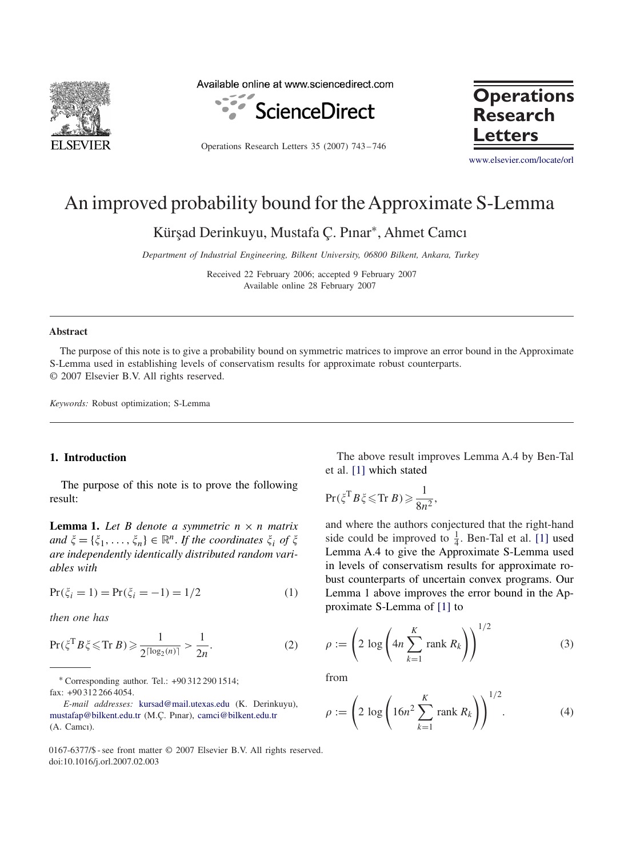

Available online at www.sciencedirect.com



Operations Research Letters 35 (2007) 743 – 746



[www.elsevier.com/locate/orl](http://www.elsevier.com/locate/orl)

# An improved probability bound for theApproximate S-Lemma

Kür¸sad Derinkuyu, Mustafa Ç. Pınar<sup>∗</sup>, Ahmet Camcı

*Department of Industrial Engineering, Bilkent University, 06800 Bilkent, Ankara, Turkey*

Received 22 February 2006; accepted 9 February 2007 Available online 28 February 2007

#### **Abstract**

The purpose of this note is to give a probability bound on symmetric matrices to improve an error bound in the Approximate S-Lemma used in establishing levels of conservatism results for approximate robust counterparts. © 2007 Elsevier B.V. All rights reserved.

*Keywords:* Robust optimization; S-Lemma

### **1. Introduction**

The purpose of this note is to prove the following result:

**Lemma 1.** Let B denote a symmetric  $n \times n$  matrix  $and \xi = {\xi_1, \ldots, \xi_n} \in \mathbb{R}^n$ . *If the coordinates*  $\xi_i$  *of*  $\xi$ *are independently identically distributed random variables with*

$$
Pr(\xi_i = 1) = Pr(\xi_i = -1) = 1/2
$$
 (1)

*then one has*

$$
\Pr(\xi^{\mathrm{T}}B\,\xi\leq\mathrm{Tr}\,B)\geq\frac{1}{2^{\lceil\log_2(n)\rceil}}>\frac{1}{2n}.\tag{2}
$$

<sup>∗</sup> Corresponding author. Tel.: +90 312 290 1514;

fax: +90 312 266 4054.

0167-6377/\$ - see front matter © 2007 Elsevier B.V. All rights reserved. doi:10.1016/j.orl.2007.02.003

The above result improves Lemma A.4 by Ben-Tal et al. [\[1\]](#page-3-0) which stated

$$
\Pr(\xi^{\mathrm{T}}B\xi\leqslant\mathrm{Tr}\,B)\geqslant\frac{1}{8n^2},
$$

and where the authors conjectured that the right-hand side could be improved to  $\frac{1}{4}$ . Ben-Tal et al. [\[1\]](#page-3-0) used Lemma A.4 to give the Approximate S-Lemma used in levels of conservatism results for approximate robust counterparts of uncertain convex programs. Our Lemma 1 above improves the error bound in the Approximate S-Lemma of [\[1\]](#page-3-0) to

$$
\rho := \left(2 \log \left(4n \sum_{k=1}^{K} \text{rank } R_k\right)\right)^{1/2} \tag{3}
$$

from

$$
\rho := \left(2 \log \left(16n^2 \sum_{k=1}^K \text{rank } R_k\right)\right)^{1/2}.\tag{4}
$$

*E-mail addresses:* [kursad@mail.utexas.edu](mailto:kursad@mail.utexas.edu) (K. Derinkuyu), [mustafap@bilkent.edu.tr](mailto:mustafap@bilkent.edu.tr) (M.Ç. Pınar), [camci@bilkent.edu.tr](mailto:camci@bilkent.edu.tr) (A. Camcı).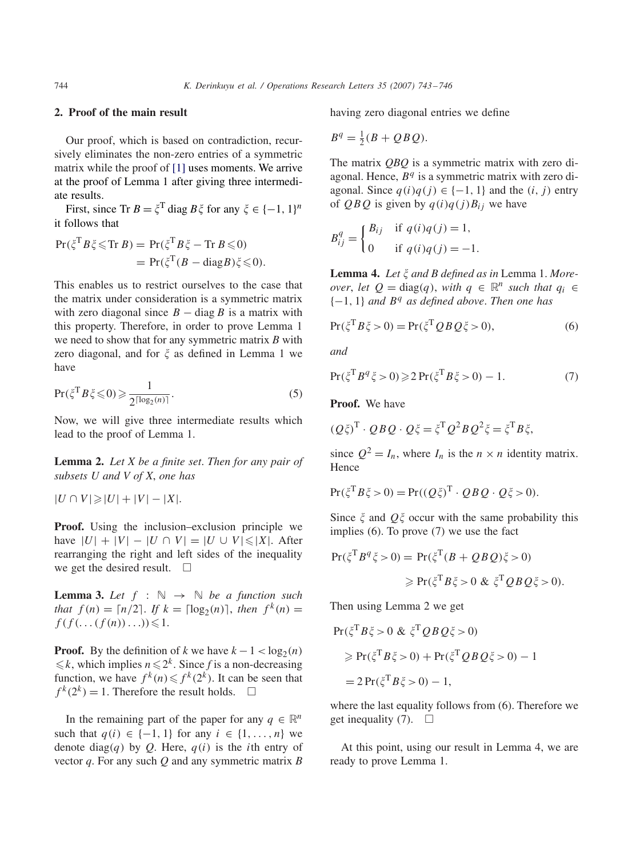## **2. Proof of the main result**

Our proof, which is based on contradiction, recursively eliminates the non-zero entries of a symmetric matrix while the proof of [\[1\]](#page-3-0) uses moments. We arrive at the proof of Lemma 1 after giving three intermediate results.

First, since  $\text{Tr } B = \xi^T \text{ diag } B \xi$  for any  $\xi \in \{-1, 1\}^n$ it follows that

$$
Pr(\xi^T B \xi \leq \text{Tr } B) = Pr(\xi^T B \xi - \text{Tr } B \leq 0)
$$
  
= 
$$
Pr(\xi^T (B - \text{diag } B) \xi \leq 0).
$$

This enables us to restrict ourselves to the case that the matrix under consideration is a symmetric matrix with zero diagonal since  $B - \text{diag } B$  is a matrix with this property. Therefore, in order to prove Lemma 1 we need to show that for any symmetric matrix *B* with zero diagonal, and for  $\xi$  as defined in Lemma 1 we have

$$
\Pr(\xi^{\mathrm{T}}B\xi \leq 0) \geq \frac{1}{2^{\lceil \log_2(n) \rceil}}.\tag{5}
$$

Now, we will give three intermediate results which lead to the proof of Lemma 1.

**Lemma 2.** *Let X be a finite set*. *Then for any pair of subsets U and V of X*, *one has*

 $|U \cap V|$ ≥ $|U| + |V| - |X|$ .

**Proof.** Using the inclusion–exclusion principle we have  $|U| + |V| - |U \cap V| = |U \cup V| \le |X|$ . After rearranging the right and left sides of the inequality we get the desired result.  $\square$ 

**Lemma 3.** Let  $f : \mathbb{N} \to \mathbb{N}$  be a function such *that*  $f(n) = \lfloor n/2 \rfloor$ . *If*  $k = \lfloor \log_2(n) \rfloor$ , *then*  $f^k(n) =$  $f(f(\ldots(f(n))\ldots))\leqslant 1.$ 

**Proof.** By the definition of *k* we have  $k - 1 < log_2(n)$  $\leq k$ , which implies  $n \leq 2^k$ . Since *f* is a non-decreasing function, we have  $f^k(n) \leq f^k(2^k)$ . It can be seen that  $f^{k}(2^{k}) = 1$ . Therefore the result holds.  $\square$ 

In the remaining part of the paper for any  $q \in \mathbb{R}^n$ such that  $q(i) \in \{-1, 1\}$  for any  $i \in \{1, \ldots, n\}$  we denote diag*(q)* by *Q*. Here, *q(i)* is the *i*th entry of vector *q*. For any such *Q* and any symmetric matrix *B* having zero diagonal entries we define

$$
B^q = \frac{1}{2}(B + QBQ).
$$

The matrix *QBQ* is a symmetric matrix with zero diagonal. Hence, *B<sup>q</sup>* is a symmetric matrix with zero diagonal. Since  $q(i)q(j) \in \{-1, 1\}$  and the  $(i, j)$  entry of *QBQ* is given by  $q(i)q(j)B_{ij}$  we have

$$
B_{ij}^{q} = \begin{cases} B_{ij} & \text{if } q(i)q(j) = 1, \\ 0 & \text{if } q(i)q(j) = -1. \end{cases}
$$

Lemma 4. Let  $\xi$  and B defined as in Lemma 1. More*over*, *let*  $Q = \text{diag}(q)$ , *with*  $q \in \mathbb{R}^n$  *such that*  $q_i \in$ {−1*,* 1} *and B<sup>q</sup> as defined above*. *Then one has*

$$
Pr(\xi^T B \xi > 0) = Pr(\xi^T Q B Q \xi > 0),
$$
\n(6)

*and*

$$
Pr(\xi^T B^q \xi > 0) \geq 2 \Pr(\xi^T B \xi > 0) - 1.
$$
 (7)

**Proof.** We have

$$
(Q\xi)^{\mathrm{T}} \cdot QB \, Q \cdot Q\xi = \xi^{\mathrm{T}} Q^2 B \, Q^2 \xi = \xi^{\mathrm{T}} B \xi,
$$

since  $Q^2 = I_n$ , where  $I_n$  is the  $n \times n$  identity matrix. Hence

$$
Pr(\xi^T B \xi > 0) = Pr((Q\xi)^T \cdot QB \cdot Q\xi > 0).
$$

Since  $\xi$  and  $Q\xi$  occur with the same probability this implies (6). To prove (7) we use the fact

$$
\begin{aligned} \Pr(\xi^{\mathrm{T}} B^q \xi > 0) = \Pr(\xi^{\mathrm{T}} (B + QBQ)\xi > 0) \\ &\geqslant \Pr(\xi^{\mathrm{T}} B\xi > 0 \ \&\ \xi^{\mathrm{T}} QBQ\xi > 0). \end{aligned}
$$

Then using Lemma 2 we get

$$
Pr(\xi^T B \xi > 0 \& \xi^T Q B Q \xi > 0)
$$
  
\n
$$
\geq Pr(\xi^T B \xi > 0) + Pr(\xi^T Q B Q \xi > 0) - 1
$$
  
\n
$$
= 2 Pr(\xi^T B \xi > 0) - 1,
$$

where the last equality follows from (6). Therefore we get inequality (7).  $\Box$ 

At this point, using our result in Lemma 4, we are ready to prove Lemma 1.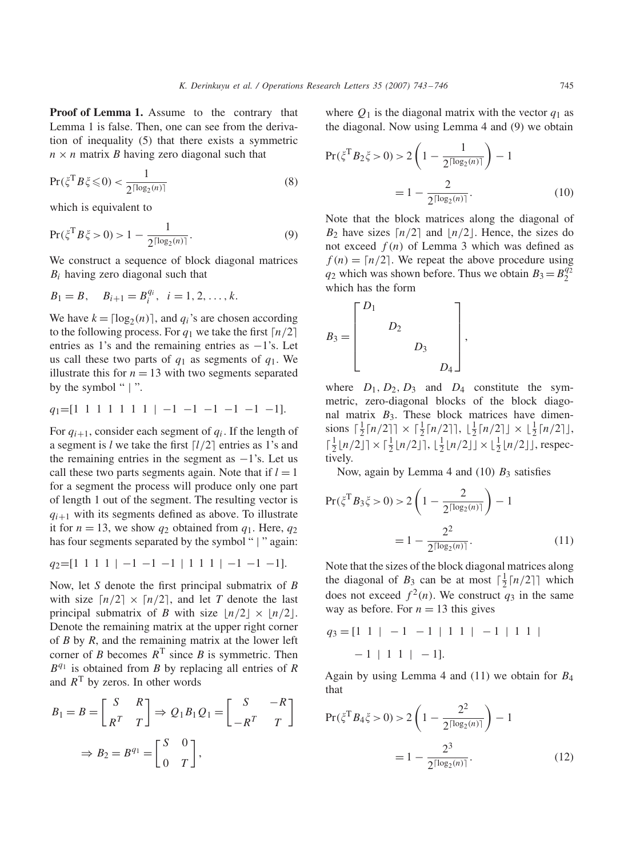**Proof of Lemma 1.** Assume to the contrary that Lemma 1 is false. Then, one can see from the derivation of inequality (5) that there exists a symmetric  $n \times n$  matrix *B* having zero diagonal such that

$$
\Pr(\xi^{\mathrm{T}}B\xi \leq 0) < \frac{1}{2^{\lceil \log_2(n) \rceil}}\tag{8}
$$

which is equivalent to

$$
\Pr(\xi^{\mathrm{T}}B\,\xi > 0) > 1 - \frac{1}{2^{\lceil \log_2(n) \rceil}}.\tag{9}
$$

We construct a sequence of block diagonal matrices *Bi* having zero diagonal such that

$$
B_1 = B
$$
,  $B_{i+1} = B_i^{q_i}$ ,  $i = 1, 2, ..., k$ .

We have  $k = \lfloor \log_2(n) \rfloor$ , and  $q_i$ 's are chosen according to the following process. For  $q_1$  we take the first  $\lceil n/2 \rceil$ entries as 1's and the remaining entries as  $-1$ 's. Let us call these two parts of  $q_1$  as segments of  $q_1$ . We illustrate this for  $n = 13$  with two segments separated by the symbol " | ".

$$
q_1 = [1 \ 1 \ 1 \ 1 \ 1 \ 1 \ 1 \ -1 \ -1 \ -1 \ -1 \ -1 \ -1].
$$

For  $q_{i+1}$ , consider each segment of  $q_i$ . If the length of a segment is  $l$  we take the first  $\lceil l/2 \rceil$  entries as 1's and the remaining entries in the segment as  $-1$ 's. Let us call these two parts segments again. Note that if  $l = 1$ for a segment the process will produce only one part of length 1 out of the segment. The resulting vector is  $q_{i+1}$  with its segments defined as above. To illustrate it for  $n = 13$ , we show  $q_2$  obtained from  $q_1$ . Here,  $q_2$ has four segments separated by the symbol " | " again:

*q*<sub>2</sub>=[1 1 1 1 | −1 −1 −1 | 1 1 1 | −1 −1 −1].

Now, let *S* denote the first principal submatrix of *B* with size  $\lceil n/2 \rceil \times \lceil n/2 \rceil$ , and let *T* denote the last principal submatrix of *B* with size  $\lfloor n/2 \rfloor \times \lfloor n/2 \rfloor$ . Denote the remaining matrix at the upper right corner of *B* by *R*, and the remaining matrix at the lower left corner of *B* becomes  $R<sup>T</sup>$  since *B* is symmetric. Then *Bq*<sup>1</sup> is obtained from *B* by replacing all entries of *R* and  $R<sup>T</sup>$  by zeros. In other words

$$
B_1 = B = \begin{bmatrix} S & R \\ R^T & T \end{bmatrix} \Rightarrow Q_1 B_1 Q_1 = \begin{bmatrix} S & -R \\ -R^T & T \end{bmatrix}
$$

$$
\Rightarrow B_2 = B^{q_1} = \begin{bmatrix} S & 0 \\ 0 & T \end{bmatrix},
$$

where  $Q_1$  is the diagonal matrix with the vector  $q_1$  as the diagonal. Now using Lemma 4 and (9) we obtain

$$
Pr(\xi^{\mathrm{T}} B_2 \xi > 0) > 2\left(1 - \frac{1}{2^{\lceil \log_2(n) \rceil}}\right) - 1
$$

$$
= 1 - \frac{2}{2^{\lceil \log_2(n) \rceil}}.
$$
(10)

Note that the block matrices along the diagonal of  $B_2$  have sizes  $\lceil n/2 \rceil$  and  $\lfloor n/2 \rfloor$ . Hence, the sizes do not exceed  $f(n)$  of Lemma 3 which was defined as  $f(n) = \lfloor n/2 \rfloor$ . We repeat the above procedure using  $q_2$  which was shown before. Thus we obtain  $B_3 = B_2^{q_2}$ which has the form

$$
B_3 = \begin{bmatrix} D_1 & & & \\ & D_2 & & \\ & & D_3 & \\ & & & D_4 \end{bmatrix},
$$

where  $D_1, D_2, D_3$  and  $D_4$  constitute the symmetric, zero-diagonal blocks of the block diagonal matrix  $B_3$ . These block matrices have dimensions  $\lceil \frac{1}{2} \lceil n/2 \rceil \rceil \times \lceil \frac{1}{2} \lceil n/2 \rceil \rceil, \lfloor \frac{1}{2} \lceil n/2 \rceil \rfloor \times \lfloor \frac{1}{2} \lceil n/2 \rceil \rfloor,$  $\lceil \frac{1}{2} \lfloor n/2 \rfloor \rceil \times \lceil \frac{1}{2} \lfloor n/2 \rfloor \rceil, \lfloor \frac{1}{2} \lfloor n/2 \rfloor \rfloor \times \lfloor \frac{1}{2} \lfloor n/2 \rfloor \rfloor$ , respectively.

Now, again by Lemma 4 and  $(10)$   $B<sub>3</sub>$  satisfies

$$
\Pr(\xi^{\mathrm{T}} B_3 \xi > 0) > 2 \left( 1 - \frac{2}{2^{\lceil \log_2(n) \rceil}} \right) - 1
$$

$$
= 1 - \frac{2^2}{2^{\lceil \log_2(n) \rceil}}.
$$
(11)

Note that the sizes of the block diagonal matrices along the diagonal of  $B_3$  can be at most  $\lceil \frac{1}{2} \lceil n/2 \rceil \rceil$  which does not exceed  $f^2(n)$ . We construct  $q_3$  in the same way as before. For  $n = 13$  this gives

$$
q_3 = [1 \ 1 \ | \ -1 \ -1 \ | \ 1 \ 1 \ | \ -1 \ | \ 1 \ 1 \ |
$$

$$
-1 \ | \ 1 \ 1 \ | \ -1].
$$

Again by using Lemma 4 and (11) we obtain for *B*<sup>4</sup> that

$$
Pr(\xi^{T} B_4 \xi > 0) > 2\left(1 - \frac{2^2}{2^{\lceil \log_2(n) \rceil}}\right) - 1
$$

$$
= 1 - \frac{2^3}{2^{\lceil \log_2(n) \rceil}}.
$$
(12)